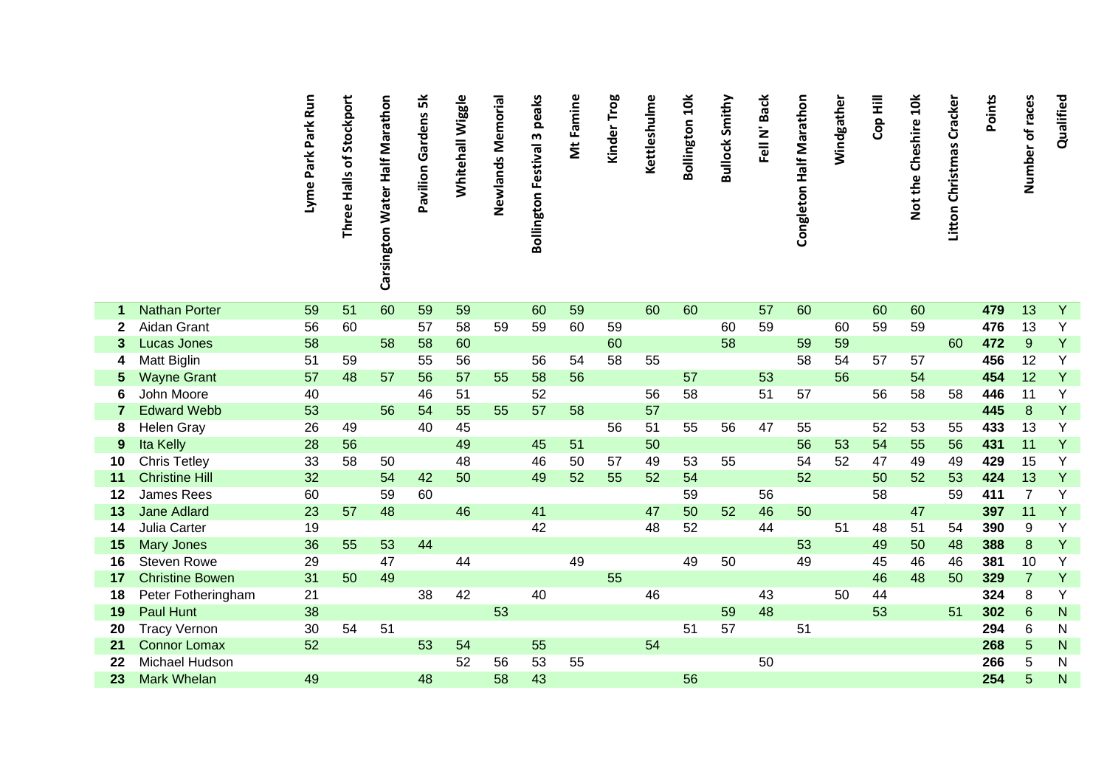|    |                        | Lyme Park Park Run | Stockport<br>Three Halls of | Carsington Water Half Marathon | Pavilion Gardens 5k | Whitehall Wiggle | Newlands Memorial | peaks<br><b>Bollington Festival 3</b> | Mt Famine | Kinder Trog | Kettleshulme | <b>Bollington 10k</b> | <b>Bullock Smithy</b> | Fell N' Back | Congleton Half Marathon | Windgather | <b>Cop Hill</b> | Not the Cheshire 10k | Litton Christmas Cracker | <b>Points</b> | Number of races | Qualified      |
|----|------------------------|--------------------|-----------------------------|--------------------------------|---------------------|------------------|-------------------|---------------------------------------|-----------|-------------|--------------|-----------------------|-----------------------|--------------|-------------------------|------------|-----------------|----------------------|--------------------------|---------------|-----------------|----------------|
|    |                        |                    |                             |                                |                     |                  |                   |                                       |           |             |              |                       |                       |              |                         |            |                 |                      |                          |               |                 |                |
| -1 | <b>Nathan Porter</b>   | 59                 | 51                          | 60                             | 59                  | 59               |                   | 60                                    | 59        |             | 60           | 60                    |                       | 57           | 60                      |            | 60              | 60                   |                          | 479           | 13              | $\overline{Y}$ |
| 2  | Aidan Grant            | 56                 | 60                          |                                | 57                  | 58               | 59                | 59                                    | 60        | 59          |              |                       | 60                    | 59           |                         | 60         | 59              | 59                   |                          | 476           | 13              | Υ              |
| 3  | <b>Lucas Jones</b>     | 58                 |                             | 58                             | 58                  | 60               |                   |                                       |           | 60          |              |                       | 58                    |              | 59                      | 59         |                 |                      | 60                       | 472           | $9\,$           | Y              |
| 4  | Matt Biglin            | 51                 | 59                          |                                | 55                  | 56               |                   | 56                                    | 54        | 58          | 55           |                       |                       |              | 58                      | 54         | 57              | 57                   |                          | 456           | 12              | Y              |
| 5  | <b>Wayne Grant</b>     | 57                 | 48                          | 57                             | 56                  | 57               | 55                | 58                                    | 56        |             |              | 57                    |                       | 53           |                         | 56         |                 | 54                   |                          | 454           | 12              | Y              |
| 6  | John Moore             | 40                 |                             |                                | 46                  | 51               |                   | 52                                    |           |             | 56           | 58                    |                       | 51           | 57                      |            | 56              | 58                   | 58                       | 446           | 11              | Y              |
|    | <b>Edward Webb</b>     | 53                 |                             | 56                             | 54                  | 55               | 55                | 57                                    | 58        |             | 57           |                       |                       |              |                         |            |                 |                      |                          | 445           | 8               | Y              |
| 8  | <b>Helen Gray</b>      | 26                 | 49                          |                                | 40                  | 45               |                   |                                       |           | 56          | 51           | 55                    | 56                    | 47           | 55                      |            | 52              | 53                   | 55                       | 433           | 13              | Y              |
| 9  | Ita Kelly              | 28                 | 56                          |                                |                     | 49               |                   | 45                                    | 51        |             | 50           |                       |                       |              | 56                      | 53         | 54              | 55                   | 56                       | 431           | 11              | Y              |
| 10 | <b>Chris Tetley</b>    | 33                 | 58                          | 50                             |                     | 48               |                   | 46                                    | 50        | 57          | 49           | 53                    | 55                    |              | 54                      | 52         | 47              | 49                   | 49                       | 429           | 15              | Y              |
| 11 | <b>Christine Hill</b>  | 32                 |                             | 54                             | 42                  | 50               |                   | 49                                    | 52        | 55          | 52           | 54                    |                       |              | 52                      |            | 50              | 52                   | 53                       | 424           | 13              | Y              |
| 12 | <b>James Rees</b>      | 60                 |                             | 59                             | 60                  |                  |                   |                                       |           |             |              | 59                    |                       | 56           |                         |            | 58              |                      | 59                       | 411           | $\overline{7}$  | Y              |
| 13 | <b>Jane Adlard</b>     | 23                 | 57                          | 48                             |                     | 46               |                   | 41                                    |           |             | 47           | 50                    | 52                    | 46           | 50                      |            |                 | 47                   |                          | 397           | 11              | Y              |
| 14 | Julia Carter           | 19                 |                             |                                |                     |                  |                   | 42                                    |           |             | 48           | 52                    |                       | 44           |                         | 51         | 48              | 51                   | 54                       | 390           | 9               | Y              |
| 15 | <b>Mary Jones</b>      | 36                 | 55                          | 53                             | 44                  |                  |                   |                                       |           |             |              |                       |                       |              | 53                      |            | 49              | 50                   | 48                       | 388           | 8               | Y              |
| 16 | Steven Rowe            | 29                 |                             | 47                             |                     | 44               |                   |                                       | 49        |             |              | 49                    | 50                    |              | 49                      |            | 45              | 46                   | 46                       | 381           | 10              | Y              |
| 17 | <b>Christine Bowen</b> | 31                 | 50                          | 49                             |                     |                  |                   |                                       |           | 55          |              |                       |                       |              |                         |            | 46              | 48                   | 50                       | 329           | $\overline{7}$  | Y              |
| 18 | Peter Fotheringham     | 21                 |                             |                                | 38                  | 42               |                   | 40                                    |           |             | 46           |                       |                       | 43           |                         | 50         | 44              |                      |                          | 324           | 8               | Υ              |
| 19 | Paul Hunt              | 38                 |                             |                                |                     |                  | 53                |                                       |           |             |              |                       | 59                    | 48           |                         |            | 53              |                      | 51                       | 302           | 6               | ${\sf N}$      |
| 20 | <b>Tracy Vernon</b>    | 30                 | 54                          | 51                             |                     |                  |                   |                                       |           |             |              | 51                    | 57                    |              | 51                      |            |                 |                      |                          | 294           | 6               | N              |
| 21 | <b>Connor Lomax</b>    | 52                 |                             |                                | 53                  | 54               |                   | 55                                    |           |             | 54           |                       |                       |              |                         |            |                 |                      |                          | 268           | 5               | ${\sf N}$      |
| 22 | Michael Hudson         |                    |                             |                                |                     | 52               | 56                | 53                                    | 55        |             |              |                       |                       | 50           |                         |            |                 |                      |                          | 266           | 5               | N              |
| 23 | <b>Mark Whelan</b>     | 49                 |                             |                                | 48                  |                  | 58                | 43                                    |           |             |              | 56                    |                       |              |                         |            |                 |                      |                          | 254           | 5               | N              |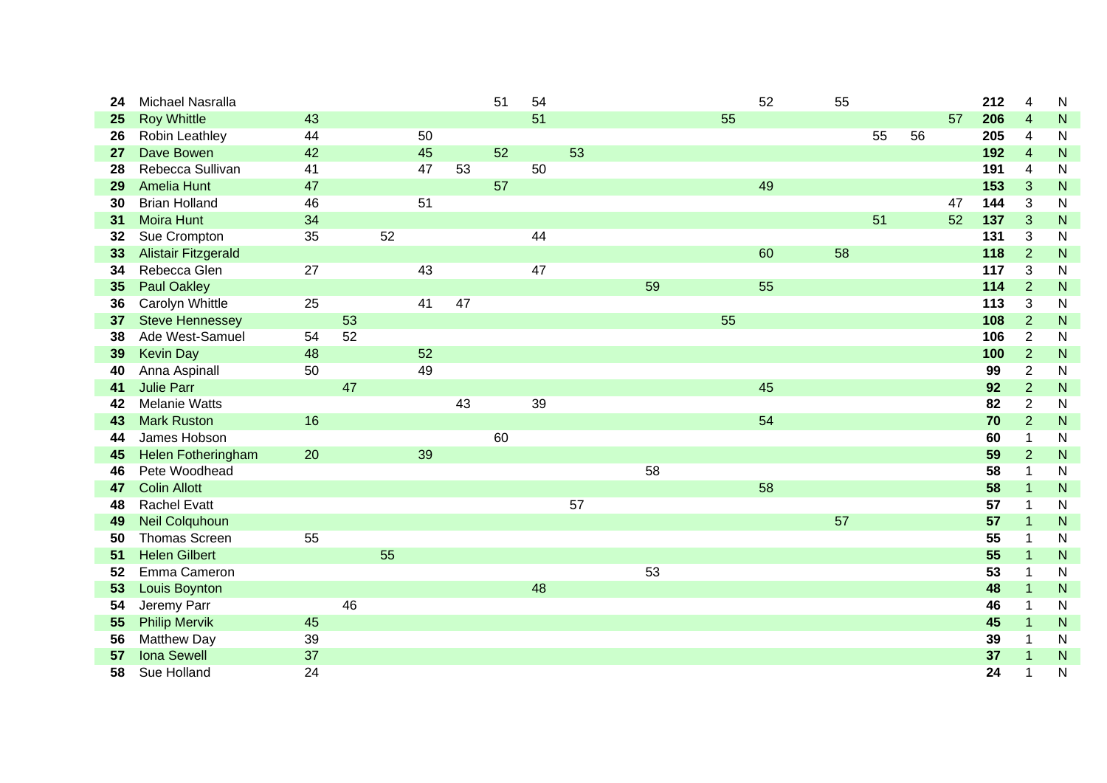| 24 | Michael Nasralla           |    |    |    |    |    | 51 | 54 |    |    |    | 52 | 55 |    |    |    | 212 | $\overline{4}$ | $\mathsf{N}$ |
|----|----------------------------|----|----|----|----|----|----|----|----|----|----|----|----|----|----|----|-----|----------------|--------------|
| 25 | <b>Roy Whittle</b>         | 43 |    |    |    |    |    | 51 |    |    | 55 |    |    |    |    | 57 | 206 | $\overline{4}$ | ${\sf N}$    |
| 26 | Robin Leathley             | 44 |    |    | 50 |    |    |    |    |    |    |    |    | 55 | 56 |    | 205 | $\overline{4}$ | $\mathsf{N}$ |
| 27 | Dave Bowen                 | 42 |    |    | 45 |    | 52 |    | 53 |    |    |    |    |    |    |    | 192 | $\overline{4}$ | $\mathsf{N}$ |
| 28 | Rebecca Sullivan           | 41 |    |    | 47 | 53 |    | 50 |    |    |    |    |    |    |    |    | 191 | $\overline{4}$ | $\mathsf{N}$ |
| 29 | <b>Amelia Hunt</b>         | 47 |    |    |    |    | 57 |    |    |    |    | 49 |    |    |    |    | 153 | 3              | ${\sf N}$    |
| 30 | <b>Brian Holland</b>       | 46 |    |    | 51 |    |    |    |    |    |    |    |    |    |    | 47 | 144 | 3              | $\mathsf{N}$ |
| 31 | <b>Moira Hunt</b>          | 34 |    |    |    |    |    |    |    |    |    |    |    | 51 |    | 52 | 137 | 3              | ${\sf N}$    |
| 32 | Sue Crompton               | 35 |    | 52 |    |    |    | 44 |    |    |    |    |    |    |    |    | 131 | 3              | $\mathsf{N}$ |
| 33 | <b>Alistair Fitzgerald</b> |    |    |    |    |    |    |    |    |    |    | 60 | 58 |    |    |    | 118 | $\overline{2}$ | $\mathsf{N}$ |
| 34 | Rebecca Glen               | 27 |    |    | 43 |    |    | 47 |    |    |    |    |    |    |    |    | 117 | 3              | $\mathsf{N}$ |
| 35 | <b>Paul Oakley</b>         |    |    |    |    |    |    |    |    | 59 |    | 55 |    |    |    |    | 114 | $\overline{2}$ | ${\sf N}$    |
| 36 | Carolyn Whittle            | 25 |    |    | 41 | 47 |    |    |    |    |    |    |    |    |    |    | 113 | 3              | $\mathsf{N}$ |
| 37 | <b>Steve Hennessey</b>     |    | 53 |    |    |    |    |    |    |    | 55 |    |    |    |    |    | 108 | $\overline{2}$ | ${\sf N}$    |
| 38 | Ade West-Samuel            | 54 | 52 |    |    |    |    |    |    |    |    |    |    |    |    |    | 106 | $\overline{2}$ | ${\sf N}$    |
| 39 | <b>Kevin Day</b>           | 48 |    |    | 52 |    |    |    |    |    |    |    |    |    |    |    | 100 | $\overline{2}$ | ${\sf N}$    |
| 40 | Anna Aspinall              | 50 |    |    | 49 |    |    |    |    |    |    |    |    |    |    |    | 99  | $\overline{2}$ | $\mathsf{N}$ |
| 41 | <b>Julie Parr</b>          |    | 47 |    |    |    |    |    |    |    |    | 45 |    |    |    |    | 92  | $\overline{2}$ | ${\sf N}$    |
| 42 | <b>Melanie Watts</b>       |    |    |    |    | 43 |    | 39 |    |    |    |    |    |    |    |    | 82  | $\overline{2}$ | $\mathsf{N}$ |
| 43 | <b>Mark Ruston</b>         | 16 |    |    |    |    |    |    |    |    |    | 54 |    |    |    |    | 70  | $\overline{2}$ | $\mathsf{N}$ |
| 44 | James Hobson               |    |    |    |    |    | 60 |    |    |    |    |    |    |    |    |    | 60  | $\mathbf 1$    | N            |
| 45 | <b>Helen Fotheringham</b>  | 20 |    |    | 39 |    |    |    |    |    |    |    |    |    |    |    | 59  | $\overline{2}$ | N            |
| 46 | Pete Woodhead              |    |    |    |    |    |    |    |    | 58 |    |    |    |    |    |    | 58  | $\mathbf 1$    | $\mathsf{N}$ |
| 47 | <b>Colin Allott</b>        |    |    |    |    |    |    |    |    |    |    | 58 |    |    |    |    | 58  | $\mathbf{1}$   | ${\sf N}$    |
| 48 | <b>Rachel Evatt</b>        |    |    |    |    |    |    |    | 57 |    |    |    |    |    |    |    | 57  | $\overline{1}$ | $\mathsf{N}$ |
| 49 | <b>Neil Colquhoun</b>      |    |    |    |    |    |    |    |    |    |    |    | 57 |    |    |    | 57  | $\mathbf{1}$   | ${\sf N}$    |
| 50 | <b>Thomas Screen</b>       | 55 |    |    |    |    |    |    |    |    |    |    |    |    |    |    | 55  | 1              | N            |
| 51 | <b>Helen Gilbert</b>       |    |    | 55 |    |    |    |    |    |    |    |    |    |    |    |    | 55  | $\overline{1}$ | ${\sf N}$    |
| 52 | Emma Cameron               |    |    |    |    |    |    |    |    | 53 |    |    |    |    |    |    | 53  | $\mathbf 1$    | $\mathsf{N}$ |
| 53 | Louis Boynton              |    |    |    |    |    |    | 48 |    |    |    |    |    |    |    |    | 48  | $\mathbf{1}$   | $\mathsf{N}$ |
| 54 | Jeremy Parr                |    | 46 |    |    |    |    |    |    |    |    |    |    |    |    |    | 46  | 1              | N            |
| 55 | <b>Philip Mervik</b>       | 45 |    |    |    |    |    |    |    |    |    |    |    |    |    |    | 45  | $\mathbf{1}$   | ${\sf N}$    |
| 56 | <b>Matthew Day</b>         | 39 |    |    |    |    |    |    |    |    |    |    |    |    |    |    | 39  | 1              | N            |
| 57 | <b>Iona Sewell</b>         | 37 |    |    |    |    |    |    |    |    |    |    |    |    |    |    | 37  | $\overline{1}$ | ${\sf N}$    |
| 58 | Sue Holland                | 24 |    |    |    |    |    |    |    |    |    |    |    |    |    |    | 24  | 1              | N            |